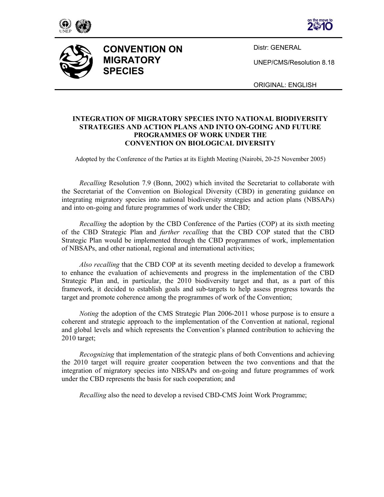





**CONVENTION ON MIGRATORY SPECIES** 

Distr: GENERAL

UNEP/CMS/Resolution 8.18

ORIGINAL: ENGLISH

## **INTEGRATION OF MIGRATORY SPECIES INTO NATIONAL BIODIVERSITY STRATEGIES AND ACTION PLANS AND INTO ON-GOING AND FUTURE PROGRAMMES OF WORK UNDER THE CONVENTION ON BIOLOGICAL DIVERSITY**

Adopted by the Conference of the Parties at its Eighth Meeting (Nairobi, 20-25 November 2005)

*Recalling* Resolution 7.9 (Bonn, 2002) which invited the Secretariat to collaborate with the Secretariat of the Convention on Biological Diversity (CBD) in generating guidance on integrating migratory species into national biodiversity strategies and action plans (NBSAPs) and into on-going and future programmes of work under the CBD;

*Recalling* the adoption by the CBD Conference of the Parties (COP) at its sixth meeting of the CBD Strategic Plan and *further recalling* that the CBD COP stated that the CBD Strategic Plan would be implemented through the CBD programmes of work, implementation of NBSAPs, and other national, regional and international activities;

*Also recalling* that the CBD COP at its seventh meeting decided to develop a framework to enhance the evaluation of achievements and progress in the implementation of the CBD Strategic Plan and, in particular, the 2010 biodiversity target and that, as a part of this framework, it decided to establish goals and sub-targets to help assess progress towards the target and promote coherence among the programmes of work of the Convention;

*Noting* the adoption of the CMS Strategic Plan 2006-2011 whose purpose is to ensure a coherent and strategic approach to the implementation of the Convention at national, regional and global levels and which represents the Convention's planned contribution to achieving the 2010 target;

*Recognizing* that implementation of the strategic plans of both Conventions and achieving the 2010 target will require greater cooperation between the two conventions and that the integration of migratory species into NBSAPs and on-going and future programmes of work under the CBD represents the basis for such cooperation; and

*Recalling* also the need to develop a revised CBD-CMS Joint Work Programme;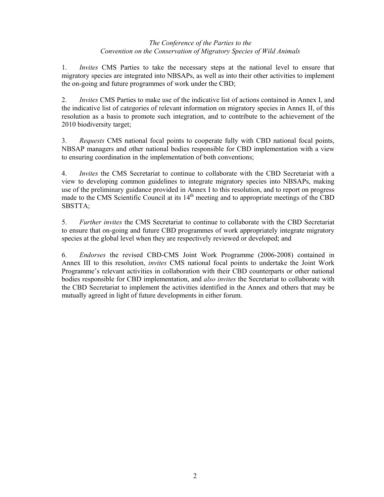# *The Conference of the Parties to the Convention on the Conservation of Migratory Species of Wild Animals*

1. *Invites* CMS Parties to take the necessary steps at the national level to ensure that migratory species are integrated into NBSAPs, as well as into their other activities to implement the on-going and future programmes of work under the CBD;

2. *Invites* CMS Parties to make use of the indicative list of actions contained in Annex I, and the indicative list of categories of relevant information on migratory species in Annex II, of this resolution as a basis to promote such integration, and to contribute to the achievement of the 2010 biodiversity target;

3. *Requests* CMS national focal points to cooperate fully with CBD national focal points, NBSAP managers and other national bodies responsible for CBD implementation with a view to ensuring coordination in the implementation of both conventions;

4. *Invites* the CMS Secretariat to continue to collaborate with the CBD Secretariat with a view to developing common guidelines to integrate migratory species into NBSAPs, making use of the preliminary guidance provided in Annex I to this resolution, and to report on progress made to the CMS Scientific Council at its 14<sup>th</sup> meeting and to appropriate meetings of the CBD SBSTTA;

5. *Further invites* the CMS Secretariat to continue to collaborate with the CBD Secretariat to ensure that on-going and future CBD programmes of work appropriately integrate migratory species at the global level when they are respectively reviewed or developed; and

6. *Endorses* the revised CBD-CMS Joint Work Programme (2006-2008) contained in Annex III to this resolution, *invites* CMS national focal points to undertake the Joint Work Programme's relevant activities in collaboration with their CBD counterparts or other national bodies responsible for CBD implementation, and *also invites* the Secretariat to collaborate with the CBD Secretariat to implement the activities identified in the Annex and others that may be mutually agreed in light of future developments in either forum.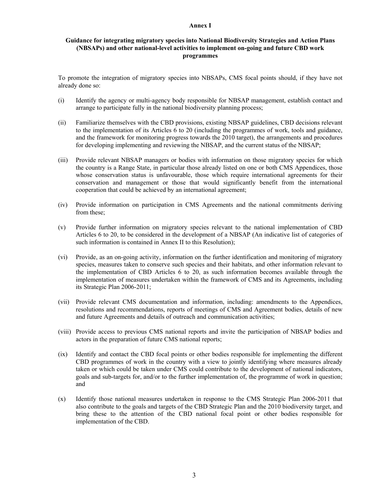#### **Annex I**

## **Guidance for integrating migratory species into National Biodiversity Strategies and Action Plans (NBSAPs) and other national-level activities to implement on-going and future CBD work programmes**

To promote the integration of migratory species into NBSAPs, CMS focal points should, if they have not already done so:

- (i) Identify the agency or multi-agency body responsible for NBSAP management, establish contact and arrange to participate fully in the national biodiversity planning process;
- (ii) Familiarize themselves with the CBD provisions, existing NBSAP guidelines, CBD decisions relevant to the implementation of its Articles 6 to 20 (including the programmes of work, tools and guidance, and the framework for monitoring progress towards the 2010 target), the arrangements and procedures for developing implementing and reviewing the NBSAP, and the current status of the NBSAP;
- (iii) Provide relevant NBSAP managers or bodies with information on those migratory species for which the country is a Range State, in particular those already listed on one or both CMS Appendices, those whose conservation status is unfavourable, those which require international agreements for their conservation and management or those that would significantly benefit from the international cooperation that could be achieved by an international agreement;
- (iv) Provide information on participation in CMS Agreements and the national commitments deriving from these;
- (v) Provide further information on migratory species relevant to the national implementation of CBD Articles 6 to 20, to be considered in the development of a NBSAP (An indicative list of categories of such information is contained in Annex II to this Resolution);
- (vi) Provide, as an on-going activity, information on the further identification and monitoring of migratory species, measures taken to conserve such species and their habitats, and other information relevant to the implementation of CBD Articles 6 to 20, as such information becomes available through the implementation of measures undertaken within the framework of CMS and its Agreements, including its Strategic Plan 2006-2011;
- (vii) Provide relevant CMS documentation and information, including: amendments to the Appendices, resolutions and recommendations, reports of meetings of CMS and Agreement bodies, details of new and future Agreements and details of outreach and communication activities;
- (viii) Provide access to previous CMS national reports and invite the participation of NBSAP bodies and actors in the preparation of future CMS national reports;
- (ix) Identify and contact the CBD focal points or other bodies responsible for implementing the different CBD programmes of work in the country with a view to jointly identifying where measures already taken or which could be taken under CMS could contribute to the development of national indicators, goals and sub-targets for, and/or to the further implementation of, the programme of work in question; and
- (x) Identify those national measures undertaken in response to the CMS Strategic Plan 2006-2011 that also contribute to the goals and targets of the CBD Strategic Plan and the 2010 biodiversity target, and bring these to the attention of the CBD national focal point or other bodies responsible for implementation of the CBD.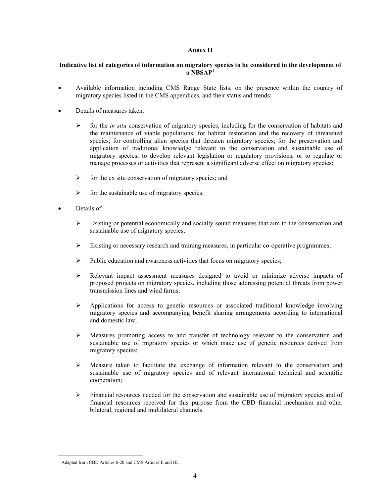## **Annex II**

## **Indicative list of categories of information on migratory species to be considered in the development of a NBSAP1**

- Available information including CMS Range State lists, on the presence within the country of migratory species listed in the CMS appendices, and their status and trends;
- Details of measures taken:
	- ¾ for the *in situ* conservation of migratory species, including for the conservation of habitats and the maintenance of viable populations; for habitat restoration and the recovery of threatened species; for controlling alien species that threaten migratory species; for the preservation and application of traditional knowledge relevant to the conservation and sustainable use of migratory species; to develop relevant legislation or regulatory provisions; or to regulate or manage processes or activities that represent a significant adverse effect on migratory species;
	- $\triangleright$  for the ex situ conservation of migratory species; and
	- $\triangleright$  for the sustainable use of migratory species;
- Details of:
	- $\triangleright$  Existing or potential economically and socially sound measures that aim to the conservation and sustainable use of migratory species;
	- $\triangleright$  Existing or necessary research and training measures, in particular co-operative programmes;
	- $\triangleright$  Public education and awareness activities that focus on migratory species;
	- $\triangleright$  Relevant impact assessment measures designed to avoid or minimize adverse impacts of proposed projects on migratory species, including those addressing potential threats from power transmission lines and wind farms;
	- ¾ Applications for access to genetic resources or associated traditional knowledge involving migratory species and accompanying benefit sharing arrangements according to international and domestic law;
	- ¾ Measures promoting access to and transfer of technology relevant to the conservation and sustainable use of migratory species or which make use of genetic resources derived from migratory species;
	- $\triangleright$  Measure taken to facilitate the exchange of information relevant to the conservation and sustainable use of migratory species and of relevant international technical and scientific cooperation;
	- $\triangleright$  Financial resources needed for the conservation and sustainable use of migratory species and of financial resources received for this purpose from the CBD financial mechanism and other bilateral, regional and multilateral channels.

l

<sup>1</sup> Adapted from CBD Articles 6-20 and CMS Articles II and III.